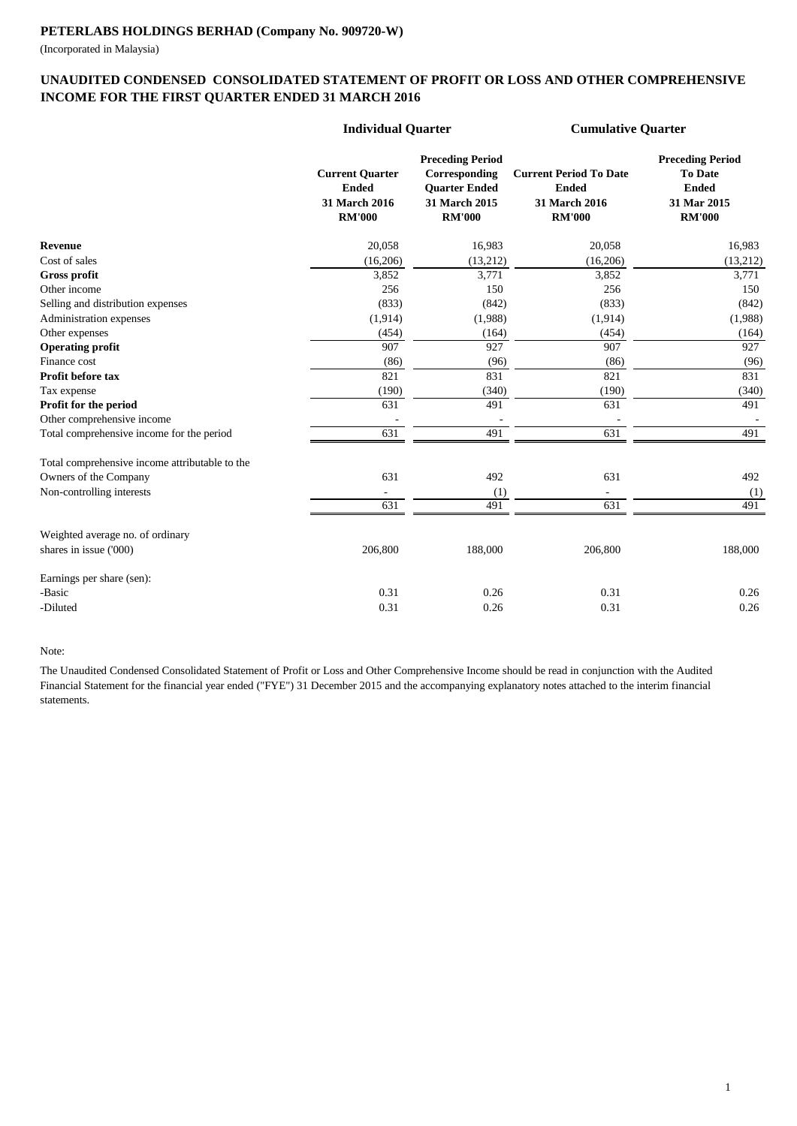(Incorporated in Malaysia)

# **UNAUDITED CONDENSED CONSOLIDATED STATEMENT OF PROFIT OR LOSS AND OTHER COMPREHENSIVE INCOME FOR THE FIRST QUARTER ENDED 31 MARCH 2016**

|                                                | <b>Individual Quarter</b>                                                |                                                                                                    | <b>Cumulative Quarter</b>                                                       |                                                                                           |  |
|------------------------------------------------|--------------------------------------------------------------------------|----------------------------------------------------------------------------------------------------|---------------------------------------------------------------------------------|-------------------------------------------------------------------------------------------|--|
|                                                | <b>Current Quarter</b><br><b>Ended</b><br>31 March 2016<br><b>RM'000</b> | <b>Preceding Period</b><br>Corresponding<br><b>Quarter Ended</b><br>31 March 2015<br><b>RM'000</b> | <b>Current Period To Date</b><br><b>Ended</b><br>31 March 2016<br><b>RM'000</b> | <b>Preceding Period</b><br><b>To Date</b><br><b>Ended</b><br>31 Mar 2015<br><b>RM'000</b> |  |
| Revenue                                        | 20,058                                                                   | 16,983                                                                                             | 20,058                                                                          | 16,983                                                                                    |  |
| Cost of sales                                  | (16,206)                                                                 | (13,212)                                                                                           | (16,206)                                                                        | (13,212)                                                                                  |  |
| <b>Gross profit</b>                            | 3,852                                                                    | 3,771                                                                                              | 3,852                                                                           | 3,771                                                                                     |  |
| Other income                                   | 256                                                                      | 150                                                                                                | 256                                                                             | 150                                                                                       |  |
| Selling and distribution expenses              | (833)                                                                    | (842)                                                                                              | (833)                                                                           | (842)                                                                                     |  |
| Administration expenses                        | (1, 914)                                                                 | (1,988)                                                                                            | (1, 914)                                                                        | (1,988)                                                                                   |  |
| Other expenses                                 | (454)                                                                    | (164)                                                                                              | (454)                                                                           | (164)                                                                                     |  |
| <b>Operating profit</b>                        | 907                                                                      | 927                                                                                                | 907                                                                             | 927                                                                                       |  |
| Finance cost                                   | (86)                                                                     | (96)                                                                                               | (86)                                                                            | (96)                                                                                      |  |
| Profit before tax                              | 821                                                                      | 831                                                                                                | 821                                                                             | 831                                                                                       |  |
| Tax expense                                    | (190)                                                                    | (340)                                                                                              | (190)                                                                           | (340)                                                                                     |  |
| Profit for the period                          | 631                                                                      | 491                                                                                                | 631                                                                             | 491                                                                                       |  |
| Other comprehensive income                     |                                                                          |                                                                                                    |                                                                                 |                                                                                           |  |
| Total comprehensive income for the period      | $\overline{631}$                                                         | 491                                                                                                | $\overline{631}$                                                                | 491                                                                                       |  |
| Total comprehensive income attributable to the |                                                                          |                                                                                                    |                                                                                 |                                                                                           |  |
| Owners of the Company                          | 631                                                                      | 492                                                                                                | 631                                                                             | 492                                                                                       |  |
| Non-controlling interests                      | $\overline{\phantom{a}}$                                                 | (1)                                                                                                | $\overline{\phantom{a}}$                                                        | (1)                                                                                       |  |
|                                                | 631                                                                      | 491                                                                                                | 631                                                                             | 491                                                                                       |  |
| Weighted average no. of ordinary               |                                                                          |                                                                                                    |                                                                                 |                                                                                           |  |
| shares in issue ('000)                         | 206,800                                                                  | 188,000                                                                                            | 206,800                                                                         | 188,000                                                                                   |  |
| Earnings per share (sen):                      |                                                                          |                                                                                                    |                                                                                 |                                                                                           |  |
| -Basic                                         | 0.31                                                                     | 0.26                                                                                               | 0.31                                                                            | 0.26                                                                                      |  |
| -Diluted                                       | 0.31                                                                     | 0.26                                                                                               | 0.31                                                                            | 0.26                                                                                      |  |

#### Note:

The Unaudited Condensed Consolidated Statement of Profit or Loss and Other Comprehensive Income should be read in conjunction with the Audited Financial Statement for the financial year ended ("FYE") 31 December 2015 and the accompanying explanatory notes attached to the interim financial statements.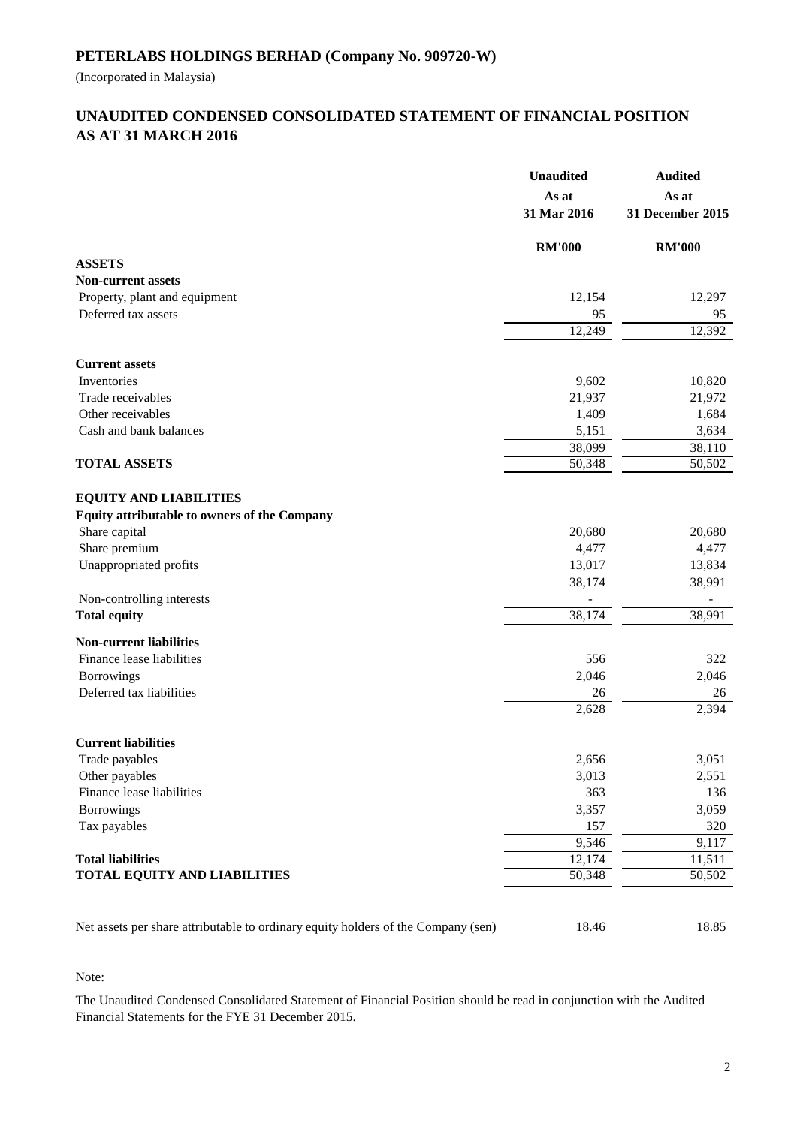(Incorporated in Malaysia)

# **AS AT 31 MARCH 2016 UNAUDITED CONDENSED CONSOLIDATED STATEMENT OF FINANCIAL POSITION**

|                                                                                   | <b>Unaudited</b><br>As at<br>31 Mar 2016 | <b>Audited</b><br>As at<br>31 December 2015 |
|-----------------------------------------------------------------------------------|------------------------------------------|---------------------------------------------|
|                                                                                   | <b>RM'000</b>                            | <b>RM'000</b>                               |
| <b>ASSETS</b>                                                                     |                                          |                                             |
| <b>Non-current assets</b>                                                         |                                          |                                             |
| Property, plant and equipment<br>Deferred tax assets                              | 12,154<br>95                             | 12,297<br>95                                |
|                                                                                   | 12,249                                   | 12,392                                      |
| <b>Current assets</b>                                                             |                                          |                                             |
| Inventories                                                                       | 9,602                                    | 10,820                                      |
| Trade receivables                                                                 | 21,937                                   | 21,972                                      |
| Other receivables                                                                 | 1,409                                    | 1,684                                       |
| Cash and bank balances                                                            | 5,151                                    | 3,634                                       |
|                                                                                   | 38,099                                   | 38,110                                      |
| <b>TOTAL ASSETS</b>                                                               | 50,348                                   | 50,502                                      |
| <b>EQUITY AND LIABILITIES</b><br>Equity attributable to owners of the Company     |                                          |                                             |
| Share capital                                                                     | 20,680                                   | 20,680                                      |
| Share premium                                                                     | 4,477                                    | 4,477                                       |
| Unappropriated profits                                                            | 13,017                                   | 13,834                                      |
|                                                                                   | 38,174                                   | 38,991                                      |
| Non-controlling interests<br><b>Total equity</b>                                  | 38,174                                   | 38,991                                      |
|                                                                                   |                                          |                                             |
| <b>Non-current liabilities</b>                                                    |                                          |                                             |
| Finance lease liabilities                                                         | 556                                      | 322                                         |
| Borrowings                                                                        | 2,046                                    | 2,046                                       |
| Deferred tax liabilities                                                          | 26                                       | 26                                          |
|                                                                                   | 2,628                                    | 2,394                                       |
| <b>Current liabilities</b>                                                        |                                          |                                             |
| Trade payables                                                                    | 2,656                                    | 3,051                                       |
| Other payables                                                                    | 3,013                                    | 2,551                                       |
| Finance lease liabilities                                                         | 363                                      | 136                                         |
| <b>Borrowings</b>                                                                 | 3,357                                    | 3,059                                       |
| Tax payables                                                                      | 157                                      | 320                                         |
|                                                                                   | 9,546                                    | 9,117                                       |
| <b>Total liabilities</b>                                                          | 12,174                                   | 11,511                                      |
| <b>TOTAL EQUITY AND LIABILITIES</b>                                               | 50,348                                   | 50,502                                      |
|                                                                                   |                                          |                                             |
| Net assets per share attributable to ordinary equity holders of the Company (sen) | 18.46                                    | 18.85                                       |

# Note:

The Unaudited Condensed Consolidated Statement of Financial Position should be read in conjunction with the Audited Financial Statements for the FYE 31 December 2015.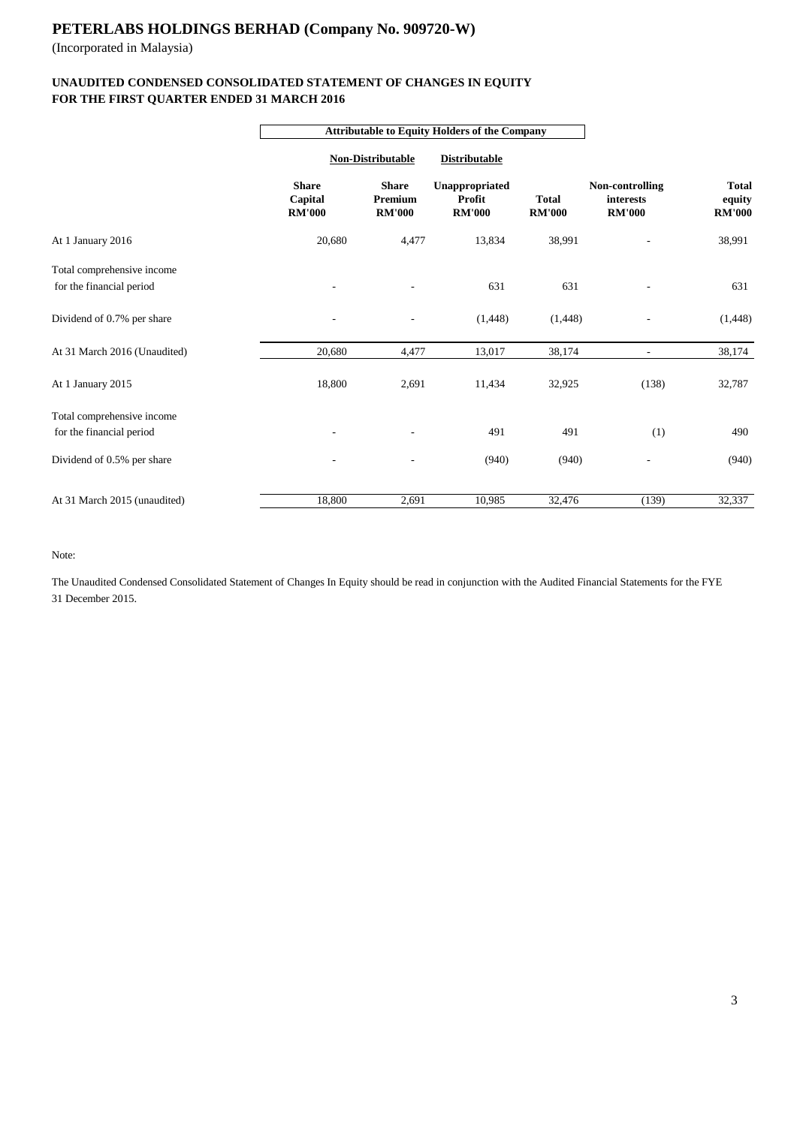(Incorporated in Malaysia)

# **FOR THE FIRST QUARTER ENDED 31 MARCH 2016 UNAUDITED CONDENSED CONSOLIDATED STATEMENT OF CHANGES IN EQUITY**

|                              |                                          | <b>Attributable to Equity Holders of the Company</b> |                                           |                               |                                               |                                         |  |
|------------------------------|------------------------------------------|------------------------------------------------------|-------------------------------------------|-------------------------------|-----------------------------------------------|-----------------------------------------|--|
|                              | Non-Distributable                        |                                                      | <b>Distributable</b>                      |                               |                                               |                                         |  |
|                              | <b>Share</b><br>Capital<br><b>RM'000</b> | <b>Share</b><br>Premium<br><b>RM'000</b>             | Unappropriated<br>Profit<br><b>RM'000</b> | <b>Total</b><br><b>RM'000</b> | Non-controlling<br>interests<br><b>RM'000</b> | <b>Total</b><br>equity<br><b>RM'000</b> |  |
| At 1 January 2016            | 20,680                                   | 4,477                                                | 13,834                                    | 38,991                        |                                               | 38,991                                  |  |
| Total comprehensive income   |                                          |                                                      |                                           |                               |                                               |                                         |  |
| for the financial period     |                                          |                                                      | 631                                       | 631                           |                                               | 631                                     |  |
| Dividend of 0.7% per share   |                                          |                                                      | (1, 448)                                  | (1, 448)                      |                                               | (1,448)                                 |  |
| At 31 March 2016 (Unaudited) | 20,680                                   | 4,477                                                | 13,017                                    | 38,174                        | $\overline{\phantom{a}}$                      | 38,174                                  |  |
| At 1 January 2015            | 18,800                                   | 2,691                                                | 11,434                                    | 32,925                        | (138)                                         | 32,787                                  |  |
| Total comprehensive income   |                                          |                                                      |                                           |                               |                                               |                                         |  |
| for the financial period     |                                          |                                                      | 491                                       | 491                           | (1)                                           | 490                                     |  |
| Dividend of 0.5% per share   |                                          |                                                      | (940)                                     | (940)                         |                                               | (940)                                   |  |
| At 31 March 2015 (unaudited) | 18,800                                   | 2,691                                                | 10,985                                    | 32,476                        | (139)                                         | 32,337                                  |  |

Note:

The Unaudited Condensed Consolidated Statement of Changes In Equity should be read in conjunction with the Audited Financial Statements for the FYE 31 December 2015.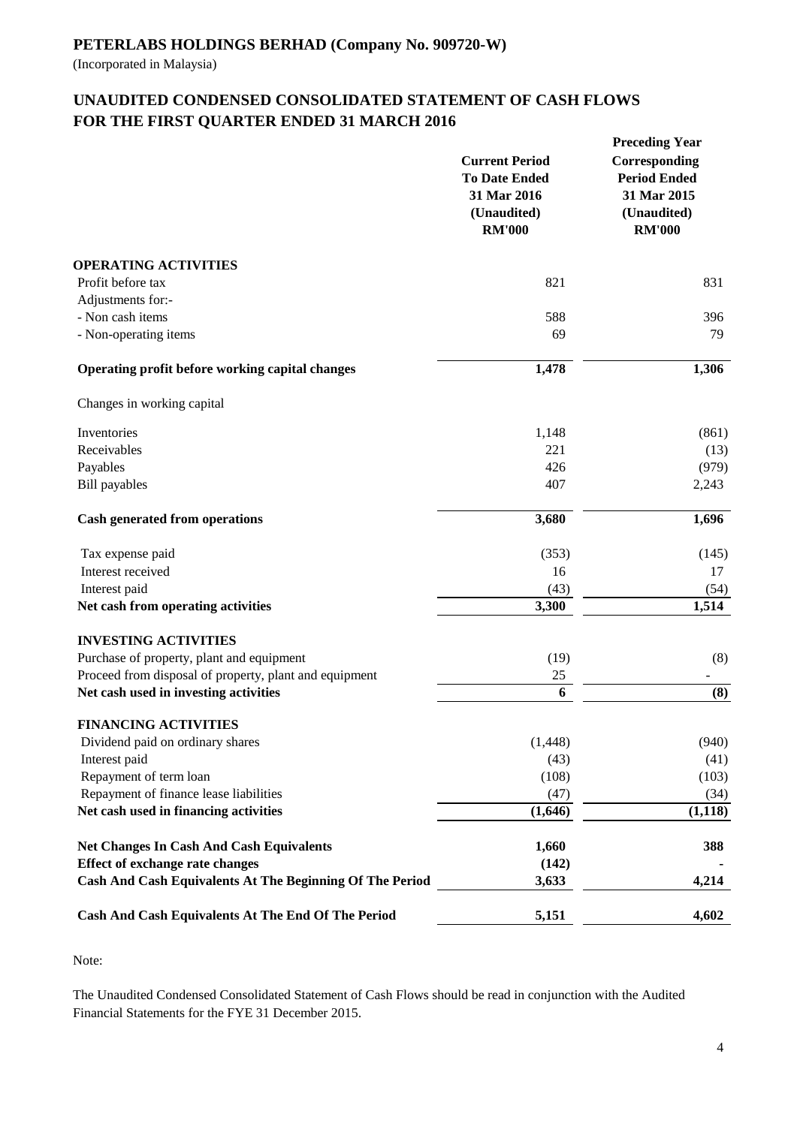(Incorporated in Malaysia)

# **UNAUDITED CONDENSED CONSOLIDATED STATEMENT OF CASH FLOWS FOR THE FIRST QUARTER ENDED 31 MARCH 2016**

|                                                                 | <b>Current Period</b><br><b>To Date Ended</b><br>31 Mar 2016<br>(Unaudited)<br><b>RM'000</b> | <b>Preceding Year</b><br>Corresponding<br><b>Period Ended</b><br>31 Mar 2015<br>(Unaudited)<br><b>RM'000</b> |
|-----------------------------------------------------------------|----------------------------------------------------------------------------------------------|--------------------------------------------------------------------------------------------------------------|
| <b>OPERATING ACTIVITIES</b>                                     |                                                                                              |                                                                                                              |
| Profit before tax                                               | 821                                                                                          | 831                                                                                                          |
| Adjustments for:-                                               |                                                                                              |                                                                                                              |
| - Non cash items                                                | 588                                                                                          | 396                                                                                                          |
| - Non-operating items                                           | 69                                                                                           | 79                                                                                                           |
| Operating profit before working capital changes                 | 1,478                                                                                        | 1,306                                                                                                        |
| Changes in working capital                                      |                                                                                              |                                                                                                              |
| Inventories                                                     | 1,148                                                                                        | (861)                                                                                                        |
| Receivables                                                     | 221                                                                                          | (13)                                                                                                         |
| Payables                                                        | 426                                                                                          | (979)                                                                                                        |
| <b>Bill</b> payables                                            | 407                                                                                          | 2,243                                                                                                        |
| <b>Cash generated from operations</b>                           | 3,680                                                                                        | 1,696                                                                                                        |
| Tax expense paid                                                | (353)                                                                                        | (145)                                                                                                        |
| Interest received                                               | 16                                                                                           | 17                                                                                                           |
| Interest paid                                                   | (43)                                                                                         | (54)                                                                                                         |
| Net cash from operating activities                              | 3,300                                                                                        | 1,514                                                                                                        |
| <b>INVESTING ACTIVITIES</b>                                     |                                                                                              |                                                                                                              |
| Purchase of property, plant and equipment                       | (19)                                                                                         | (8)                                                                                                          |
| Proceed from disposal of property, plant and equipment          | 25                                                                                           |                                                                                                              |
| Net cash used in investing activities                           | 6                                                                                            | (8)                                                                                                          |
| <b>FINANCING ACTIVITIES</b><br>Dividend paid on ordinary shares | (1, 448)                                                                                     | (940)                                                                                                        |
| Interest paid                                                   | (43)                                                                                         | (41)                                                                                                         |
| Repayment of term loan                                          | (108)                                                                                        | (103)                                                                                                        |
| Repayment of finance lease liabilities                          | (47)                                                                                         | (34)                                                                                                         |
| Net cash used in financing activities                           | (1,646)                                                                                      | (1, 118)                                                                                                     |
|                                                                 |                                                                                              |                                                                                                              |
| <b>Net Changes In Cash And Cash Equivalents</b>                 | 1,660                                                                                        | 388                                                                                                          |
| Effect of exchange rate changes                                 | (142)                                                                                        |                                                                                                              |
| Cash And Cash Equivalents At The Beginning Of The Period        | 3,633                                                                                        | 4,214                                                                                                        |
| Cash And Cash Equivalents At The End Of The Period              | 5,151                                                                                        | 4,602                                                                                                        |

Note:

The Unaudited Condensed Consolidated Statement of Cash Flows should be read in conjunction with the Audited Financial Statements for the FYE 31 December 2015.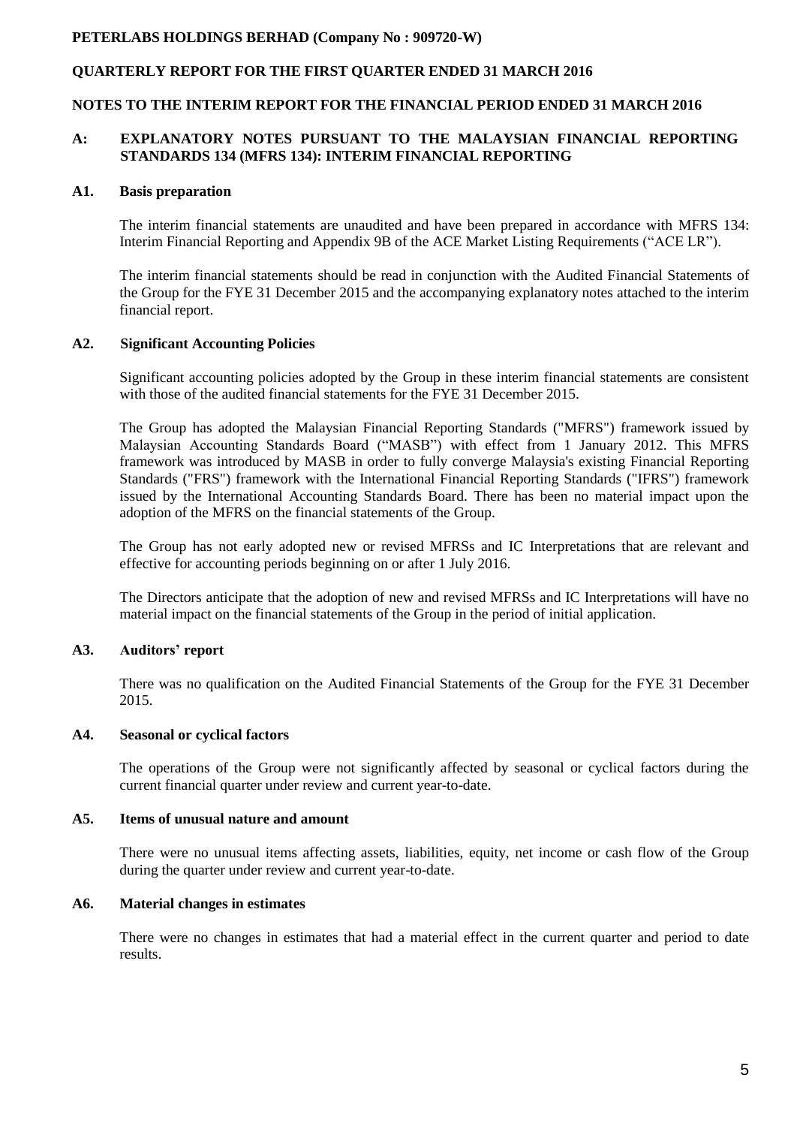# **QUARTERLY REPORT FOR THE FIRST QUARTER ENDED 31 MARCH 2016**

#### **NOTES TO THE INTERIM REPORT FOR THE FINANCIAL PERIOD ENDED 31 MARCH 2016**

# **A: EXPLANATORY NOTES PURSUANT TO THE MALAYSIAN FINANCIAL REPORTING STANDARDS 134 (MFRS 134): INTERIM FINANCIAL REPORTING**

#### **A1. Basis preparation**

The interim financial statements are unaudited and have been prepared in accordance with MFRS 134: Interim Financial Reporting and Appendix 9B of the ACE Market Listing Requirements ("ACE LR").

The interim financial statements should be read in conjunction with the Audited Financial Statements of the Group for the FYE 31 December 2015 and the accompanying explanatory notes attached to the interim financial report.

#### **A2. Significant Accounting Policies**

Significant accounting policies adopted by the Group in these interim financial statements are consistent with those of the audited financial statements for the FYE 31 December 2015.

The Group has adopted the Malaysian Financial Reporting Standards ("MFRS") framework issued by Malaysian Accounting Standards Board ("MASB") with effect from 1 January 2012. This MFRS framework was introduced by MASB in order to fully converge Malaysia's existing Financial Reporting Standards ("FRS") framework with the International Financial Reporting Standards ("IFRS") framework issued by the International Accounting Standards Board. There has been no material impact upon the adoption of the MFRS on the financial statements of the Group.

The Group has not early adopted new or revised MFRSs and IC Interpretations that are relevant and effective for accounting periods beginning on or after 1 July 2016.

The Directors anticipate that the adoption of new and revised MFRSs and IC Interpretations will have no material impact on the financial statements of the Group in the period of initial application.

## **A3. Auditors' report**

There was no qualification on the Audited Financial Statements of the Group for the FYE 31 December 2015.

#### **A4. Seasonal or cyclical factors**

The operations of the Group were not significantly affected by seasonal or cyclical factors during the current financial quarter under review and current year-to-date.

#### **A5. Items of unusual nature and amount**

There were no unusual items affecting assets, liabilities, equity, net income or cash flow of the Group during the quarter under review and current year-to-date.

# **A6. Material changes in estimates**

There were no changes in estimates that had a material effect in the current quarter and period to date results.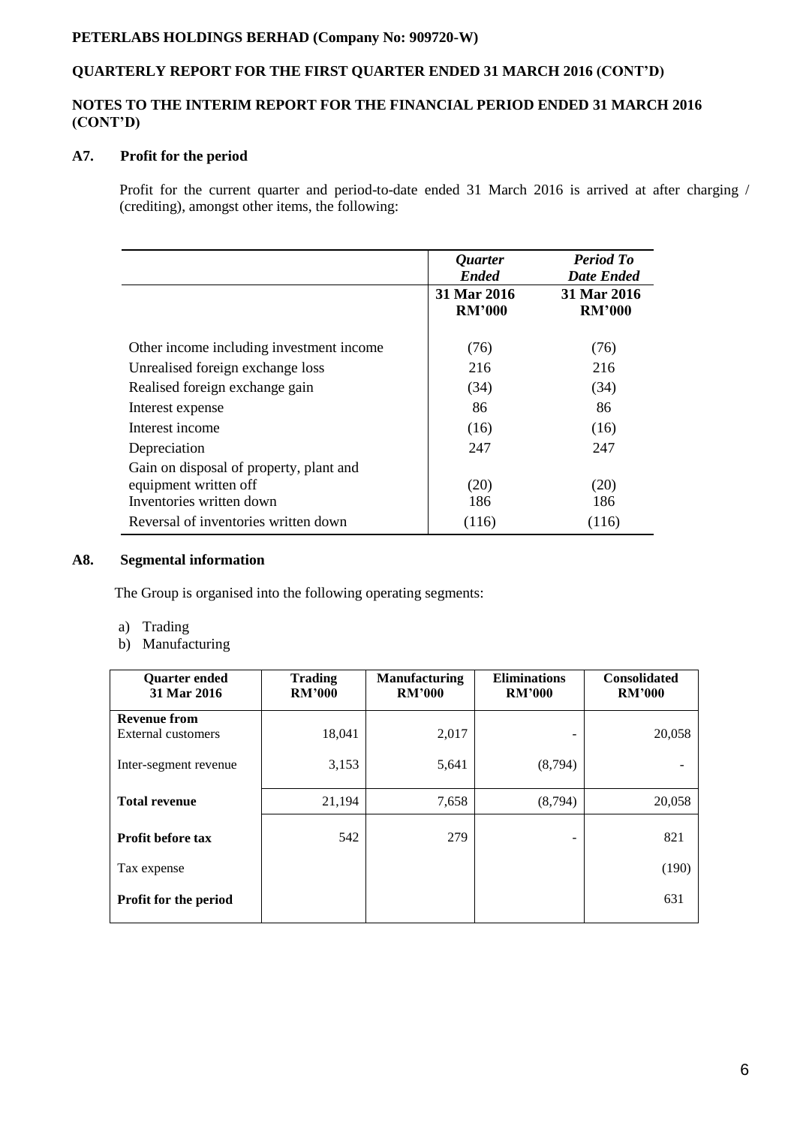# **QUARTERLY REPORT FOR THE FIRST QUARTER ENDED 31 MARCH 2016 (CONT'D)**

# **NOTES TO THE INTERIM REPORT FOR THE FINANCIAL PERIOD ENDED 31 MARCH 2016 (CONT'D)**

# **A7. Profit for the period**

Profit for the current quarter and period-to-date ended 31 March 2016 is arrived at after charging / (crediting), amongst other items, the following:

|                                          | Quarter<br><b>Ended</b>      | <b>Period To</b><br><b>Date Ended</b> |
|------------------------------------------|------------------------------|---------------------------------------|
|                                          | 31 Mar 2016<br><b>RM'000</b> | 31 Mar 2016<br><b>RM'000</b>          |
| Other income including investment income | (76)                         | (76)                                  |
| Unrealised foreign exchange loss         | 216                          | 216                                   |
| Realised foreign exchange gain           | (34)                         | (34)                                  |
| Interest expense                         | 86                           | 86                                    |
| Interest income                          | (16)                         | (16)                                  |
| Depreciation                             | 247                          | 247                                   |
| Gain on disposal of property, plant and  |                              |                                       |
| equipment written off                    | (20)                         | (20)                                  |
| Inventories written down                 | 186                          | 186                                   |
| Reversal of inventories written down     | (116)                        | (116)                                 |

## **A8. Segmental information**

The Group is organised into the following operating segments:

- a) Trading
- b) Manufacturing

| <b>Quarter</b> ended<br>31 Mar 2016 | <b>Trading</b><br><b>RM'000</b> | <b>Manufacturing</b><br><b>RM'000</b> | <b>Eliminations</b><br><b>RM'000</b> | <b>Consolidated</b><br><b>RM'000</b> |
|-------------------------------------|---------------------------------|---------------------------------------|--------------------------------------|--------------------------------------|
| <b>Revenue from</b>                 |                                 |                                       |                                      |                                      |
| External customers                  | 18,041                          | 2,017                                 |                                      | 20,058                               |
| Inter-segment revenue               | 3,153                           | 5,641                                 | (8,794)                              |                                      |
| <b>Total revenue</b>                | 21,194                          | 7,658                                 | (8,794)                              | 20,058                               |
| <b>Profit before tax</b>            | 542                             | 279                                   |                                      | 821                                  |
| Tax expense                         |                                 |                                       |                                      | (190)                                |
| Profit for the period               |                                 |                                       |                                      | 631                                  |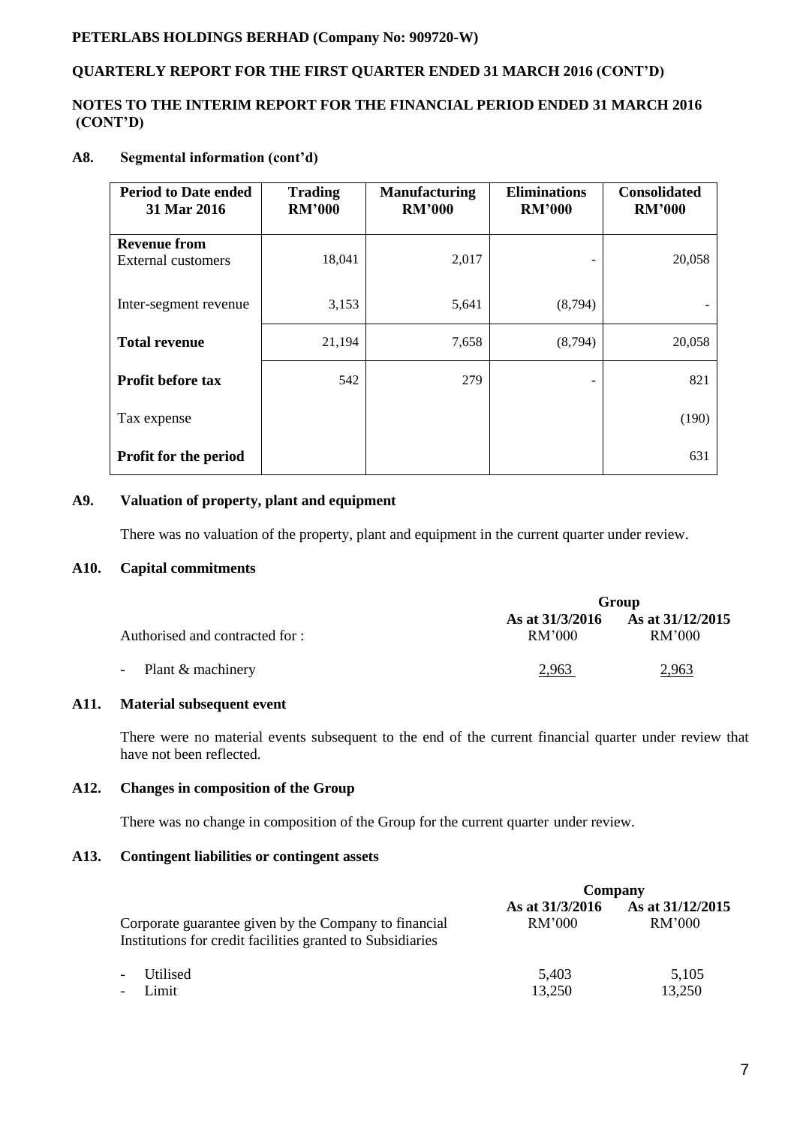# **QUARTERLY REPORT FOR THE FIRST QUARTER ENDED 31 MARCH 2016 (CONT'D)**

# **NOTES TO THE INTERIM REPORT FOR THE FINANCIAL PERIOD ENDED 31 MARCH 2016 (CONT'D)**

# **A8. Segmental information (cont'd)**

| <b>Period to Date ended</b><br>31 Mar 2016 | <b>Trading</b><br><b>RM'000</b> | <b>Manufacturing</b><br><b>RM'000</b> | <b>Eliminations</b><br><b>RM'000</b> | <b>Consolidated</b><br><b>RM'000</b> |
|--------------------------------------------|---------------------------------|---------------------------------------|--------------------------------------|--------------------------------------|
| <b>Revenue from</b><br>External customers  | 18,041                          | 2,017                                 |                                      | 20,058                               |
| Inter-segment revenue                      | 3,153                           | 5,641                                 | (8,794)                              |                                      |
| <b>Total revenue</b>                       | 21,194                          | 7,658                                 | (8,794)                              | 20,058                               |
| <b>Profit before tax</b>                   | 542                             | 279                                   | -                                    | 821                                  |
| Tax expense                                |                                 |                                       |                                      | (190)                                |
| <b>Profit for the period</b>               |                                 |                                       |                                      | 631                                  |

## **A9. Valuation of property, plant and equipment**

There was no valuation of the property, plant and equipment in the current quarter under review.

# **A10. Capital commitments**

|                                 | Group                     |                            |  |
|---------------------------------|---------------------------|----------------------------|--|
| Authorised and contracted for : | As at 31/3/2016<br>RM'000 | As at 31/12/2015<br>RM'000 |  |
| Plant & machinery<br>$\sim$     | 2,963                     | 2,963                      |  |

# **A11. Material subsequent event**

There were no material events subsequent to the end of the current financial quarter under review that have not been reflected.

# **A12. Changes in composition of the Group**

There was no change in composition of the Group for the current quarter under review.

# **A13. Contingent liabilities or contingent assets**

|                                                                                                                     | Company                   |                            |  |
|---------------------------------------------------------------------------------------------------------------------|---------------------------|----------------------------|--|
| Corporate guarantee given by the Company to financial<br>Institutions for credit facilities granted to Subsidiaries | As at 31/3/2016<br>RM'000 | As at 31/12/2015<br>RM'000 |  |
| Utilised<br>$\overline{\phantom{a}}$                                                                                | 5,403                     | 5,105                      |  |
| Limit<br>$\overline{\phantom{a}}$                                                                                   | 13,250                    | 13,250                     |  |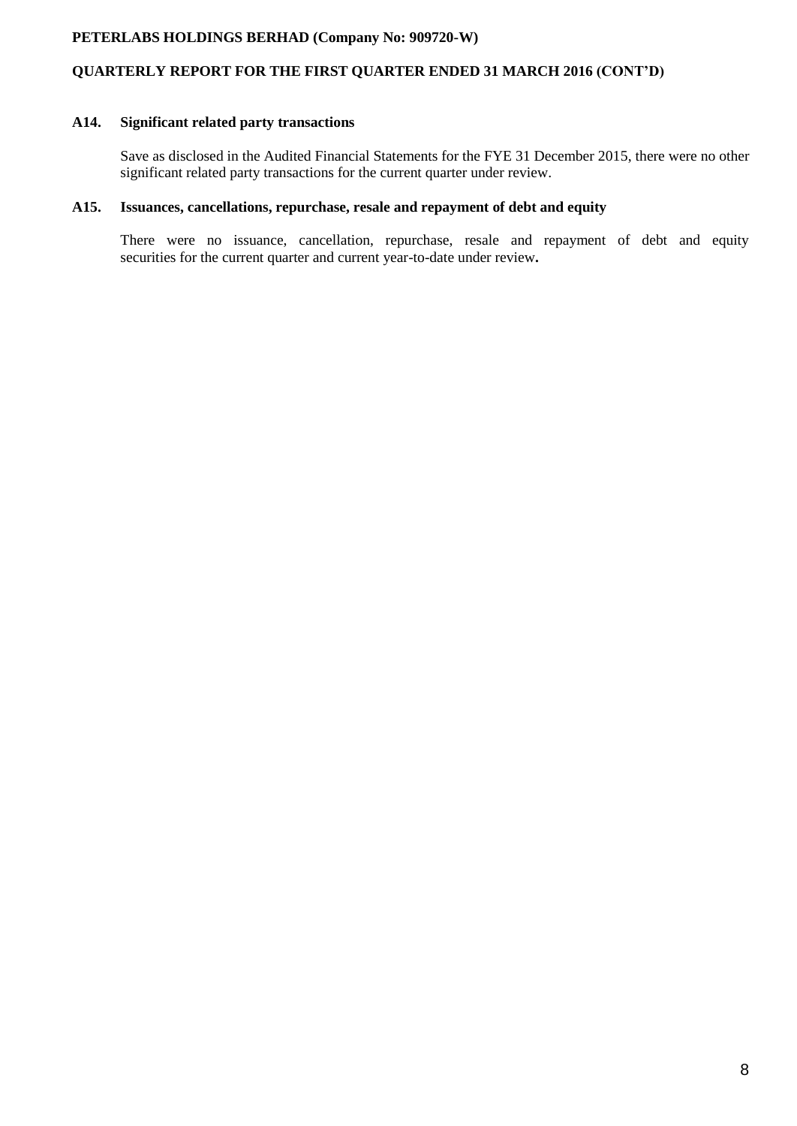# **QUARTERLY REPORT FOR THE FIRST QUARTER ENDED 31 MARCH 2016 (CONT'D)**

# **A14. Significant related party transactions**

Save as disclosed in the Audited Financial Statements for the FYE 31 December 2015, there were no other significant related party transactions for the current quarter under review.

#### **A15. Issuances, cancellations, repurchase, resale and repayment of debt and equity**

There were no issuance, cancellation, repurchase, resale and repayment of debt and equity securities for the current quarter and current year-to-date under review**.**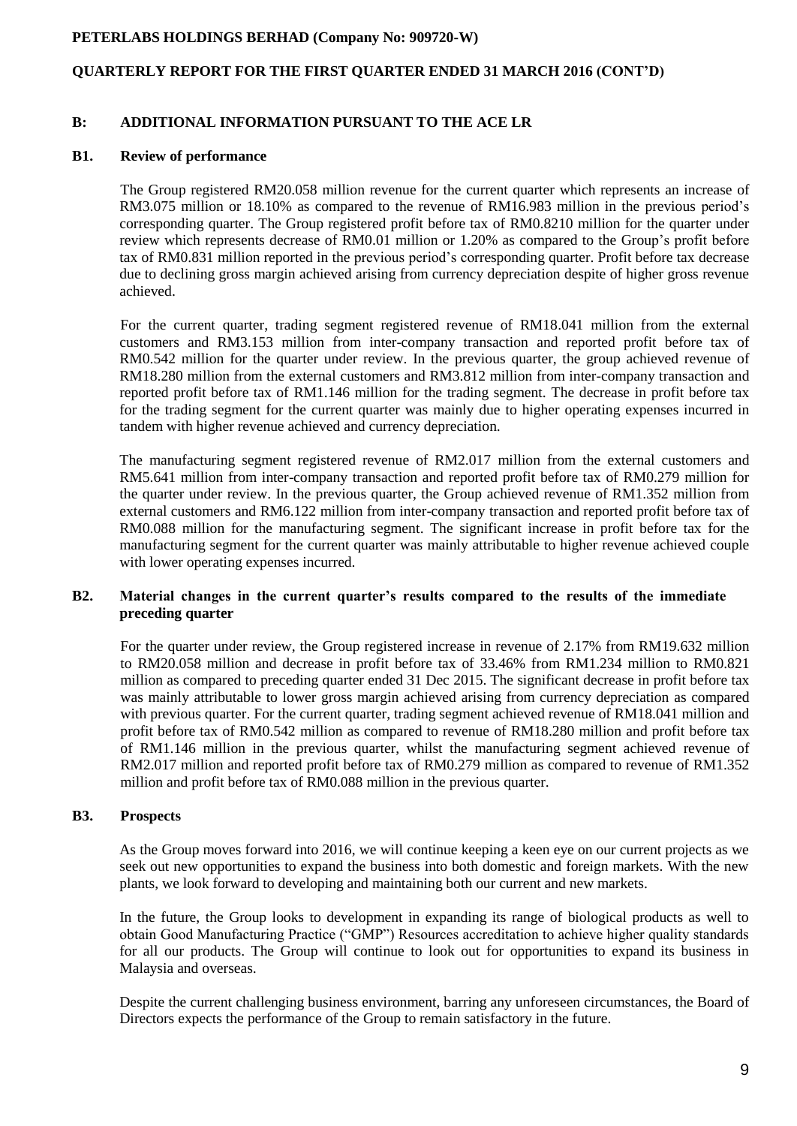# **QUARTERLY REPORT FOR THE FIRST QUARTER ENDED 31 MARCH 2016 (CONT'D)**

# **B: ADDITIONAL INFORMATION PURSUANT TO THE ACE LR**

#### **B1. Review of performance**

The Group registered RM20.058 million revenue for the current quarter which represents an increase of RM3.075 million or 18.10% as compared to the revenue of RM16.983 million in the previous period's corresponding quarter. The Group registered profit before tax of RM0.8210 million for the quarter under review which represents decrease of RM0.01 million or 1.20% as compared to the Group's profit before tax of RM0.831 million reported in the previous period's corresponding quarter. Profit before tax decrease due to declining gross margin achieved arising from currency depreciation despite of higher gross revenue achieved.

For the current quarter, trading segment registered revenue of RM18.041 million from the external customers and RM3.153 million from inter-company transaction and reported profit before tax of RM0.542 million for the quarter under review. In the previous quarter, the group achieved revenue of RM18.280 million from the external customers and RM3.812 million from inter-company transaction and reported profit before tax of RM1.146 million for the trading segment. The decrease in profit before tax for the trading segment for the current quarter was mainly due to higher operating expenses incurred in tandem with higher revenue achieved and currency depreciation.

The manufacturing segment registered revenue of RM2.017 million from the external customers and RM5.641 million from inter-company transaction and reported profit before tax of RM0.279 million for the quarter under review. In the previous quarter, the Group achieved revenue of RM1.352 million from external customers and RM6.122 million from inter-company transaction and reported profit before tax of RM0.088 million for the manufacturing segment. The significant increase in profit before tax for the manufacturing segment for the current quarter was mainly attributable to higher revenue achieved couple with lower operating expenses incurred.

# **B2. Material changes in the current quarter's results compared to the results of the immediate preceding quarter**

For the quarter under review, the Group registered increase in revenue of 2.17% from RM19.632 million to RM20.058 million and decrease in profit before tax of 33.46% from RM1.234 million to RM0.821 million as compared to preceding quarter ended 31 Dec 2015. The significant decrease in profit before tax was mainly attributable to lower gross margin achieved arising from currency depreciation as compared with previous quarter. For the current quarter, trading segment achieved revenue of RM18.041 million and profit before tax of RM0.542 million as compared to revenue of RM18.280 million and profit before tax of RM1.146 million in the previous quarter, whilst the manufacturing segment achieved revenue of RM2.017 million and reported profit before tax of RM0.279 million as compared to revenue of RM1.352 million and profit before tax of RM0.088 million in the previous quarter.

# **B3. Prospects**

As the Group moves forward into 2016, we will continue keeping a keen eye on our current projects as we seek out new opportunities to expand the business into both domestic and foreign markets. With the new plants, we look forward to developing and maintaining both our current and new markets.

In the future, the Group looks to development in expanding its range of biological products as well to obtain Good Manufacturing Practice ("GMP") Resources accreditation to achieve higher quality standards for all our products. The Group will continue to look out for opportunities to expand its business in Malaysia and overseas.

Despite the current challenging business environment, barring any unforeseen circumstances, the Board of Directors expects the performance of the Group to remain satisfactory in the future.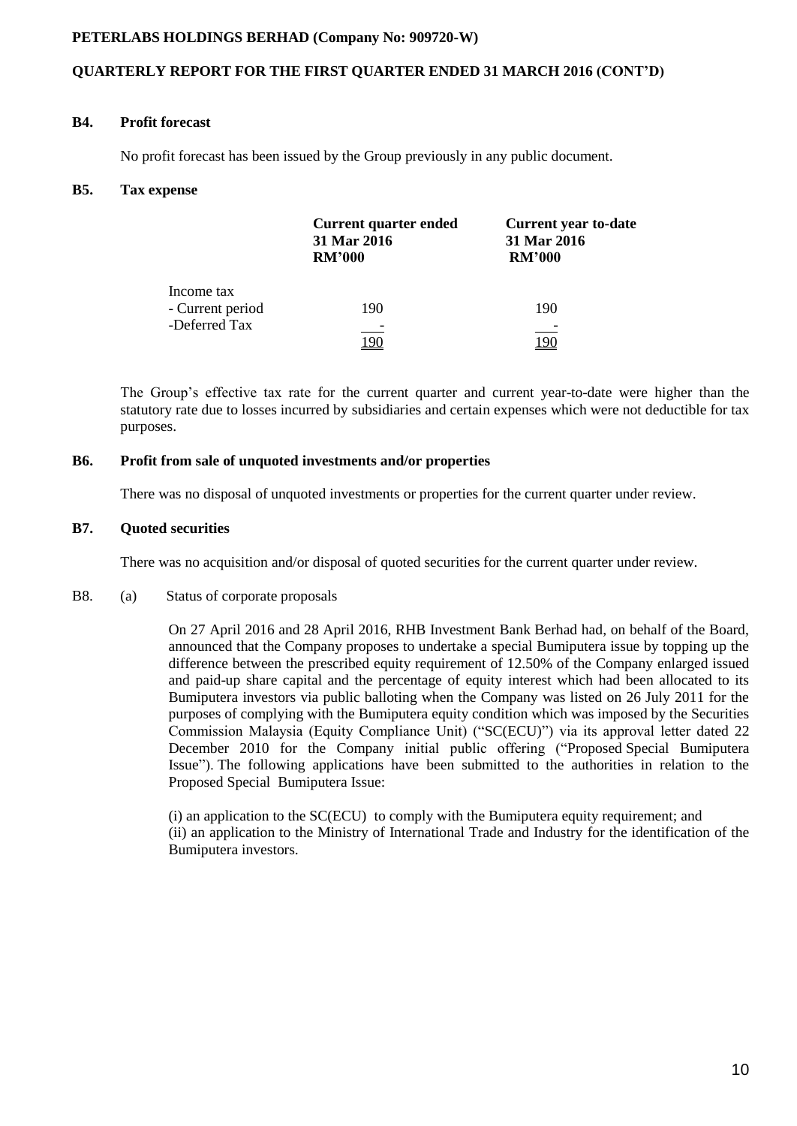# **QUARTERLY REPORT FOR THE FIRST QUARTER ENDED 31 MARCH 2016 (CONT'D)**

#### **B4. Profit forecast**

No profit forecast has been issued by the Group previously in any public document.

# **B5. Tax expense**

|                  | Current quarter ended<br>31 Mar 2016<br><b>RM'000</b> | <b>Current year to-date</b><br>31 Mar 2016<br><b>RM'000</b> |
|------------------|-------------------------------------------------------|-------------------------------------------------------------|
| Income tax       |                                                       |                                                             |
| - Current period | 190                                                   | 190                                                         |
| -Deferred Tax    |                                                       |                                                             |
|                  |                                                       |                                                             |

The Group's effective tax rate for the current quarter and current year-to-date were higher than the statutory rate due to losses incurred by subsidiaries and certain expenses which were not deductible for tax purposes.

#### **B6. Profit from sale of unquoted investments and/or properties**

There was no disposal of unquoted investments or properties for the current quarter under review.

## **B7. Quoted securities**

There was no acquisition and/or disposal of quoted securities for the current quarter under review.

B8. (a) Status of corporate proposals

On 27 April 2016 and 28 April 2016, RHB Investment Bank Berhad had, on behalf of the Board, announced that the Company proposes to undertake a special Bumiputera issue by topping up the difference between the prescribed equity requirement of 12.50% of the Company enlarged issued and paid-up share capital and the percentage of equity interest which had been allocated to its Bumiputera investors via public balloting when the Company was listed on 26 July 2011 for the purposes of complying with the Bumiputera equity condition which was imposed by the Securities Commission Malaysia (Equity Compliance Unit) ("SC(ECU)") via its approval letter dated 22 December 2010 for the Company initial public offering ("Proposed Special Bumiputera Issue"). The following applications have been submitted to the authorities in relation to the Proposed Special Bumiputera Issue:

(i) an application to the SC(ECU) to comply with the Bumiputera equity requirement; and (ii) an application to the Ministry of International Trade and Industry for the identification of the Bumiputera investors.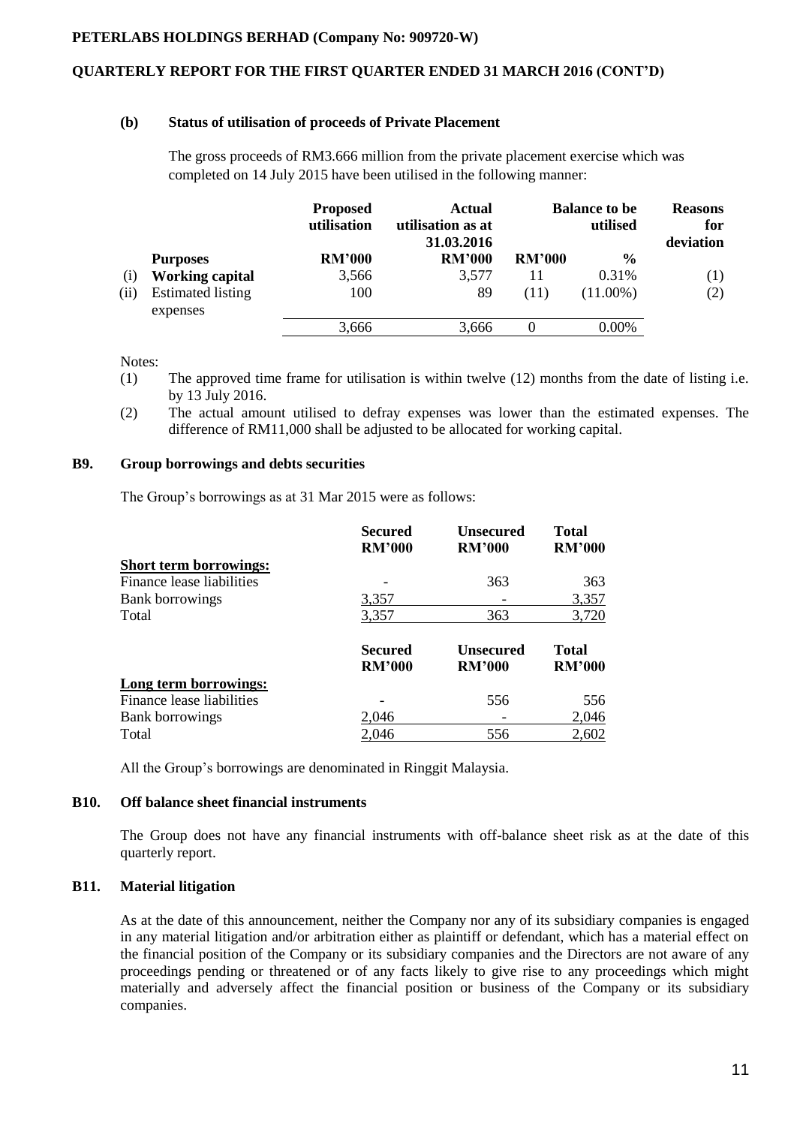# **QUARTERLY REPORT FOR THE FIRST QUARTER ENDED 31 MARCH 2016 (CONT'D)**

# **(b) Status of utilisation of proceeds of Private Placement**

The gross proceeds of RM3.666 million from the private placement exercise which was completed on 14 July 2015 have been utilised in the following manner:

|      |                                      | <b>Proposed</b><br>utilisation | Actual<br>utilisation as at<br>31.03.2016 |               | <b>Balance to be</b><br>utilised | <b>Reasons</b><br>for<br>deviation |
|------|--------------------------------------|--------------------------------|-------------------------------------------|---------------|----------------------------------|------------------------------------|
|      | <b>Purposes</b>                      | <b>RM'000</b>                  | <b>RM'000</b>                             | <b>RM'000</b> | $\frac{0}{0}$                    |                                    |
| (i)  | <b>Working capital</b>               | 3,566                          | 3,577                                     | 11            | 0.31%                            | $\left(1\right)$                   |
| (ii) | <b>Estimated listing</b><br>expenses | 100                            | 89                                        | (11)          | $(11.00\%)$                      | (2)                                |
|      |                                      | 3,666                          | 3,666                                     |               | 0.00%                            |                                    |

Notes:

- (1) The approved time frame for utilisation is within twelve (12) months from the date of listing i.e. by 13 July 2016.
- (2) The actual amount utilised to defray expenses was lower than the estimated expenses. The difference of RM11,000 shall be adjusted to be allocated for working capital.

# **B9. Group borrowings and debts securities**

The Group's borrowings as at 31 Mar 2015 were as follows:

|                               | <b>Secured</b><br><b>RM'000</b> | <b>Unsecured</b><br><b>RM'000</b> | <b>Total</b><br><b>RM'000</b> |
|-------------------------------|---------------------------------|-----------------------------------|-------------------------------|
| <b>Short term borrowings:</b> |                                 |                                   |                               |
| Finance lease liabilities     | -                               | 363                               | 363                           |
| <b>Bank borrowings</b>        | 3,357                           |                                   | 3,357                         |
| Total                         | 3,357                           | 363                               | 3,720                         |
|                               | <b>Secured</b><br><b>RM'000</b> | <b>Unsecured</b><br><b>RM'000</b> | <b>Total</b><br><b>RM'000</b> |
| Long term borrowings:         |                                 |                                   |                               |
| Finance lease liabilities     |                                 | 556                               | 556                           |
| <b>Bank borrowings</b>        | 2,046                           |                                   | 2,046                         |
| Total                         | 2,046                           | 556                               | 2,602                         |

All the Group's borrowings are denominated in Ringgit Malaysia.

# **B10. Off balance sheet financial instruments**

The Group does not have any financial instruments with off-balance sheet risk as at the date of this quarterly report.

# **B11. Material litigation**

As at the date of this announcement, neither the Company nor any of its subsidiary companies is engaged in any material litigation and/or arbitration either as plaintiff or defendant, which has a material effect on the financial position of the Company or its subsidiary companies and the Directors are not aware of any proceedings pending or threatened or of any facts likely to give rise to any proceedings which might materially and adversely affect the financial position or business of the Company or its subsidiary companies.